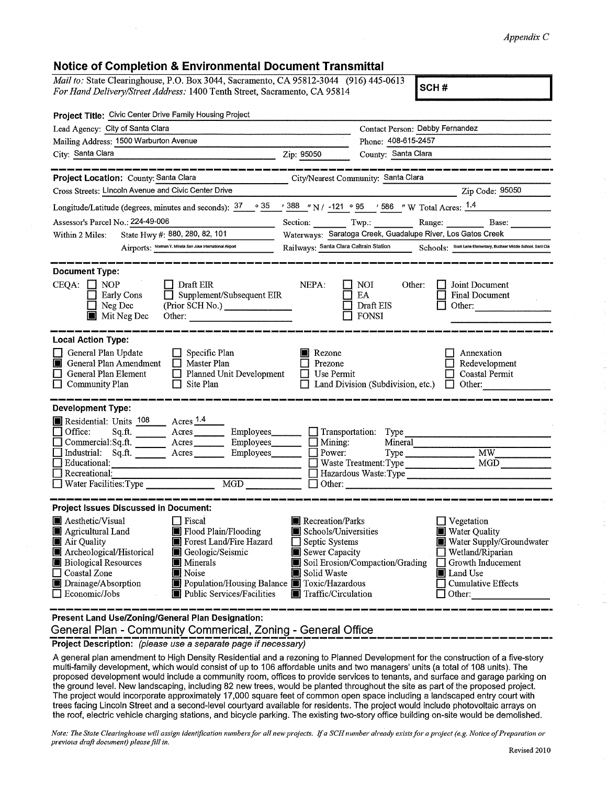## *Appendix C*

## **Notice of Completion & Environmental Document Transmittal**

*Mail to:* State Clearinghouse, P.O. Box 3044, Sacramento, CA 95812-3044 (916) 445-0613 *For Hand Delivery/Street Address:* 1400 Tenth Street, Sacramento, CA 95814 **SCH #** 

|                                                                                                                                                                                                                | Contact Person: Debby Fernandez                                                                                                                                                                                                                                                              |
|----------------------------------------------------------------------------------------------------------------------------------------------------------------------------------------------------------------|----------------------------------------------------------------------------------------------------------------------------------------------------------------------------------------------------------------------------------------------------------------------------------------------|
|                                                                                                                                                                                                                | Phone: 408-615-2457                                                                                                                                                                                                                                                                          |
| Zip: 95050<br><u> 2000 - 2000 - 2000 - 2000 - 2000 - 2000 - 2000 - 2000 - 2000 - 2000 - 2000 - 2000 - 2000 - 2000 - 2000 - 200</u>                                                                             | County: Santa Clara                                                                                                                                                                                                                                                                          |
|                                                                                                                                                                                                                | City/Nearest Community: Santa Clara                                                                                                                                                                                                                                                          |
|                                                                                                                                                                                                                | $\chi$ 2 $\chi$ and $\chi$ 2 $\chi$ 2 $\chi$ 2 $\chi$ 2 $\chi$ 3 $\chi$ 2 $\chi$ 3 $\chi$ 3 $\chi$ 3 $\chi$ 3 $\chi$ 3 $\chi$ 3 $\chi$ 3 $\chi$ 3 $\chi$ 3 $\chi$ 3 $\chi$ 3 $\chi$ 3 $\chi$ 3 $\chi$ 3 $\chi$ 3 $\chi$ 3 $\chi$ 3 $\chi$ 3 $\chi$ 3 $\chi$ 3 $\chi$ 3 $\chi$ 3 $\chi$ 3 $\$ |
|                                                                                                                                                                                                                | Longitude/Latitude (degrees, minutes and seconds): $\frac{37}{100}$ $\frac{35}{100}$ $\frac{388}{100}$ $\frac{1}{100}$ N / -121 $\circ$ 95 $\%$ / 586 $\%$ W Total Acres: $\frac{1.4}{1.4}$                                                                                                  |
|                                                                                                                                                                                                                | Section: Twp.: Range: Base:                                                                                                                                                                                                                                                                  |
|                                                                                                                                                                                                                | Waterways: Saratoga Creek, Guadalupe River, Los Gatos Creek                                                                                                                                                                                                                                  |
|                                                                                                                                                                                                                | Railways: Santa Clara Caltrain Station Schools: Scott Lane Elementary, Buchser Middle School, Sant Cla                                                                                                                                                                                       |
|                                                                                                                                                                                                                |                                                                                                                                                                                                                                                                                              |
| NEPA:<br>Supplement/Subsequent EIR<br>(Prior SCH No.) ________________                                                                                                                                         | <b>I</b> Joint Document<br>I I NOI<br>Other:<br>EA<br><b>Final Document</b><br>Draft EIS<br>$\Box$ Other:<br>$\Box$ FONSI                                                                                                                                                                    |
|                                                                                                                                                                                                                |                                                                                                                                                                                                                                                                                              |
| Rezone<br>$\Box$ Prezone<br>Planned Unit Development<br>$\Box$ Use Permit                                                                                                                                      | Annexation<br>Redevelopment<br><b>Coastal Permit</b><br>$\Box$ Land Division (Subdivision, etc.)<br>$\Box$ Other:                                                                                                                                                                            |
|                                                                                                                                                                                                                |                                                                                                                                                                                                                                                                                              |
| Commercial:Sq.ft. <u>Acres</u> Acres Employees<br>Mining:<br>Power:<br>Acres Employees<br>$\Box$ Other:                                                                                                        | $\Box$ Transportation: Type<br>Mineral<br>$\overline{M}$<br>Type<br>MGD<br>Waste Treatment: Type<br>□ Hazardous Waste: Type                                                                                                                                                                  |
|                                                                                                                                                                                                                |                                                                                                                                                                                                                                                                                              |
| Recreation/Parks<br>Schools/Universities<br>$\Box$ Septic Systems<br>Sewer Capacity<br>Solid Waste<br>Population/Housing Balance Toxic/Hazardous<br>Public Services/Facilities<br><b>T</b> Traffic/Circulation | $\Box$ Vegetation<br>Water Quality<br>Water Supply/Groundwater<br>$\Box$ Wetland/Riparian<br>Soil Erosion/Compaction/Grading   Growth Inducement<br><b>I</b> Land Use<br>Cumulative Effects<br>$\Box$ Other:                                                                                 |
|                                                                                                                                                                                                                |                                                                                                                                                                                                                                                                                              |

**Present Land Use/Zoning/General Plan Designation:** 

**General Plan - Community Commerical, Zoning - General Office** 

**Project Description:** (please use a separate page if necessary)

A general plan amendment to High Density Residential and a rezoning to Planned Development for the construction of a five-story multi-family development, which would consist of up to 106 affordable units and two managers' units (a total of 108 units). The proposed development would include a community room, offices to provide services to tenants, and surface and garage parking on the ground level. New landscaping, including 82 new trees, would be planted throughout the site as part of the proposed project. The project would incorporate approximately 17,000 square feet of common open space including a landscaped entry court with trees facing Lincoln Street and a second-level courtyard available for residents. The project would include photovoltaic arrays on the roof, electric vehicle charging stations, and bicycle parking. The existing two-story office building on-site would be demolished.

*Note: The State Clearinghouse will assign identification numbers for all new projects. If a SCH number already exists for a project (e.g. Notice of Preparation or* previous draft document) please fill in.